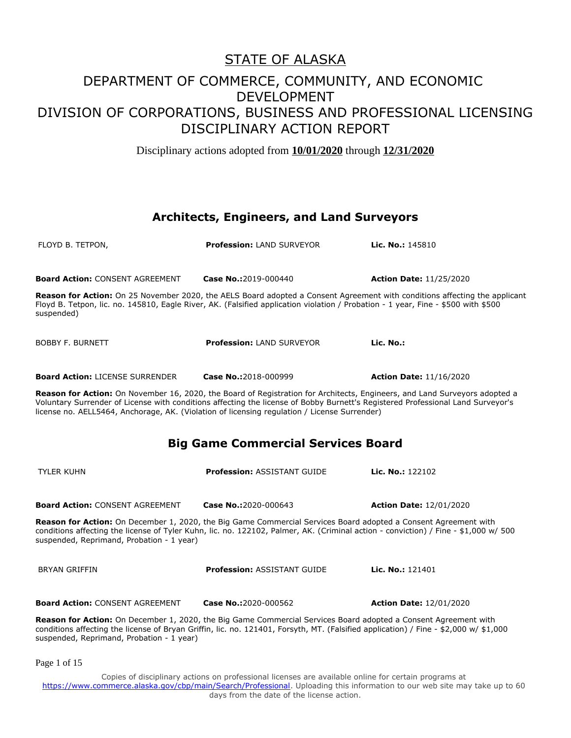Disciplinary actions adopted from **10/01/2020** through **12/31/2020**

#### **Architects, Engineers, and Land Surveyors**

| FLOYD B. TETPON,                                                                                                                                                                                                                                                                                                                                              | <b>Profession: LAND SURVEYOR</b>   | Lic. No.: 145810               |
|---------------------------------------------------------------------------------------------------------------------------------------------------------------------------------------------------------------------------------------------------------------------------------------------------------------------------------------------------------------|------------------------------------|--------------------------------|
| <b>Board Action: CONSENT AGREEMENT</b>                                                                                                                                                                                                                                                                                                                        | Case No.:2019-000440               | <b>Action Date: 11/25/2020</b> |
| <b>Reason for Action:</b> On 25 November 2020, the AELS Board adopted a Consent Agreement with conditions affecting the applicant<br>Floyd B. Tetpon, lic. no. 145810, Eagle River, AK. (Falsified application violation / Probation - 1 year, Fine - \$500 with \$500<br>suspended)                                                                          |                                    |                                |
| <b>BOBBY F. BURNETT</b>                                                                                                                                                                                                                                                                                                                                       | <b>Profession: LAND SURVEYOR</b>   | Lic. No.:                      |
| <b>Board Action: LICENSE SURRENDER</b>                                                                                                                                                                                                                                                                                                                        | Case No.: 2018-000999              | <b>Action Date: 11/16/2020</b> |
| Reason for Action: On November 16, 2020, the Board of Registration for Architects, Engineers, and Land Surveyors adopted a<br>Voluntary Surrender of License with conditions affecting the license of Bobby Burnett's Registered Professional Land Surveyor's<br>license no. AELL5464, Anchorage, AK. (Violation of licensing regulation / License Surrender) |                                    |                                |
| <b>Big Game Commercial Services Board</b>                                                                                                                                                                                                                                                                                                                     |                                    |                                |
| TYLER KUHN                                                                                                                                                                                                                                                                                                                                                    | <b>Profession: ASSISTANT GUIDE</b> | Lic. No.: 122102               |

**Board Action:** CONSENT AGREEMENT **Case No.:**2020-000643 **Action Date:** 12/01/2020

**Reason for Action:** On December 1, 2020, the Big Game Commercial Services Board adopted a Consent Agreement with conditions affecting the license of Tyler Kuhn, lic. no. 122102, Palmer, AK. (Criminal action - conviction) / Fine - \$1,000 w/ 500 suspended, Reprimand, Probation - 1 year)

| BRYAN GRIFFIN                          | <b>Profession: ASSISTANT GUIDE</b> | <b>Lic. No.:</b> $121401$      |
|----------------------------------------|------------------------------------|--------------------------------|
|                                        |                                    |                                |
| <b>Board Action: CONSENT AGREEMENT</b> | <b>Case No.:</b> 2020-000562       | <b>Action Date: 12/01/2020</b> |

**Reason for Action:** On December 1, 2020, the Big Game Commercial Services Board adopted a Consent Agreement with conditions affecting the license of Bryan Griffin, lic. no. 121401, Forsyth, MT. (Falsified application) / Fine - \$2,000 w/ \$1,000 suspended, Reprimand, Probation - 1 year)

Page 1 of 15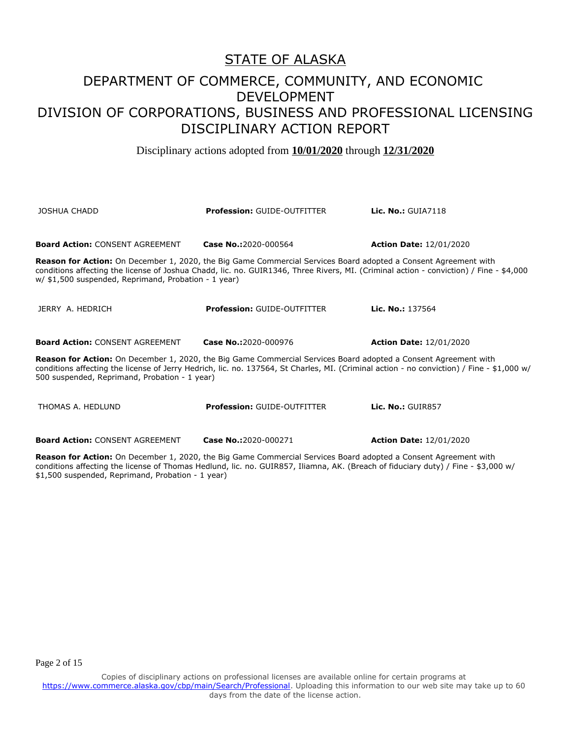Disciplinary actions adopted from **10/01/2020** through **12/31/2020**

| JOSHUA CHADD                                                                                                                                                                                                                                                                                                      | <b>Profession: GUIDE-OUTFITTER</b> | <b>Lic. No.: GUIA7118</b>      |  |
|-------------------------------------------------------------------------------------------------------------------------------------------------------------------------------------------------------------------------------------------------------------------------------------------------------------------|------------------------------------|--------------------------------|--|
| <b>Board Action: CONSENT AGREEMENT</b>                                                                                                                                                                                                                                                                            | Case No.:2020-000564               | <b>Action Date: 12/01/2020</b> |  |
| Reason for Action: On December 1, 2020, the Big Game Commercial Services Board adopted a Consent Agreement with<br>conditions affecting the license of Joshua Chadd, lic. no. GUIR1346, Three Rivers, MI. (Criminal action - conviction) / Fine - \$4,000<br>w/ \$1,500 suspended, Reprimand, Probation - 1 year) |                                    |                                |  |
| JERRY A. HEDRICH                                                                                                                                                                                                                                                                                                  | <b>Profession: GUIDE-OUTFITTER</b> | Lic. No.: 137564               |  |
| <b>Board Action: CONSENT AGREEMENT</b>                                                                                                                                                                                                                                                                            | Case No.:2020-000976               | <b>Action Date: 12/01/2020</b> |  |
| Reason for Action: On December 1, 2020, the Big Game Commercial Services Board adopted a Consent Agreement with<br>conditions affecting the license of Jerry Hedrich, lic. no. 137564, St Charles, MI. (Criminal action - no conviction) / Fine - \$1,000 w/<br>500 suspended, Reprimand, Probation - 1 year)     |                                    |                                |  |
| THOMAS A. HEDLUND                                                                                                                                                                                                                                                                                                 | <b>Profession: GUIDE-OUTFITTER</b> | <b>Lic. No.: GUIR857</b>       |  |

**Board Action:** CONSENT AGREEMENT **Case No.:**2020-000271 **Action Date:** 12/01/2020

**Reason for Action:** On December 1, 2020, the Big Game Commercial Services Board adopted a Consent Agreement with conditions affecting the license of Thomas Hedlund, lic. no. GUIR857, Iliamna, AK. (Breach of fiduciary duty) / Fine - \$3,000 w/ \$1,500 suspended, Reprimand, Probation - 1 year)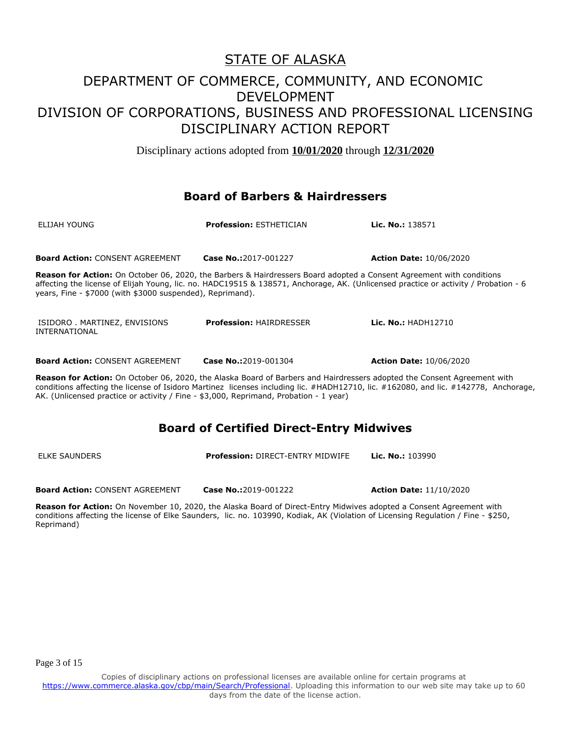Disciplinary actions adopted from **10/01/2020** through **12/31/2020**

### **Board of Barbers & Hairdressers**

| ELIJAH YOUNG                                              | <b>Profession: ESTHETICIAN</b> | Lic. No.: 138571                                                                                                                                                                                                                                                   |
|-----------------------------------------------------------|--------------------------------|--------------------------------------------------------------------------------------------------------------------------------------------------------------------------------------------------------------------------------------------------------------------|
| <b>Board Action: CONSENT AGREEMENT</b>                    | Case No.:2017-001227           | <b>Action Date: 10/06/2020</b>                                                                                                                                                                                                                                     |
| years, Fine - \$7000 (with \$3000 suspended), Reprimand). |                                | <b>Reason for Action:</b> On October 06, 2020, the Barbers & Hairdressers Board adopted a Consent Agreement with conditions<br>affecting the license of Elijah Young, lic. no. HADC19515 & 138571, Anchorage, AK. (Unlicensed practice or activity / Probation - 6 |
| ISIDORO . MARTINEZ, ENVISIONS<br>INTERNATIONAL            | <b>Profession: HAIRDRESSER</b> | Lic. No.: HADH12710                                                                                                                                                                                                                                                |
| <b>Board Action: CONSENT AGREEMENT</b>                    | Case No.:2019-001304           | <b>Action Date: 10/06/2020</b>                                                                                                                                                                                                                                     |
|                                                           |                                | <b>Reason for Action:</b> On October 06, 2020, the Alaska Board of Barbers and Hairdressers adopted the Consent Agreement with                                                                                                                                     |

**son ror Action:** On October 06, 2020, the Alaska Board of Barbers and Hairdressers adopted the Consent Agreement with conditions affecting the license of Isidoro Martinez licenses including lic. #HADH12710, lic. #162080, and lic. #142778, Anchorage, AK. (Unlicensed practice or activity / Fine - \$3,000, Reprimand, Probation - 1 year)

### **Board of Certified Direct-Entry Midwives**

ELKE SAUNDERS **Profession:** DIRECT-ENTRY MIDWIFE **Lic. No.:** 103990

**Board Action:** CONSENT AGREEMENT **Case No.:**2019-001222 **Action Date:** 11/10/2020

**Reason for Action:** On November 10, 2020, the Alaska Board of Direct-Entry Midwives adopted a Consent Agreement with conditions affecting the license of Elke Saunders, lic. no. 103990, Kodiak, AK (Violation of Licensing Regulation / Fine - \$250, Reprimand)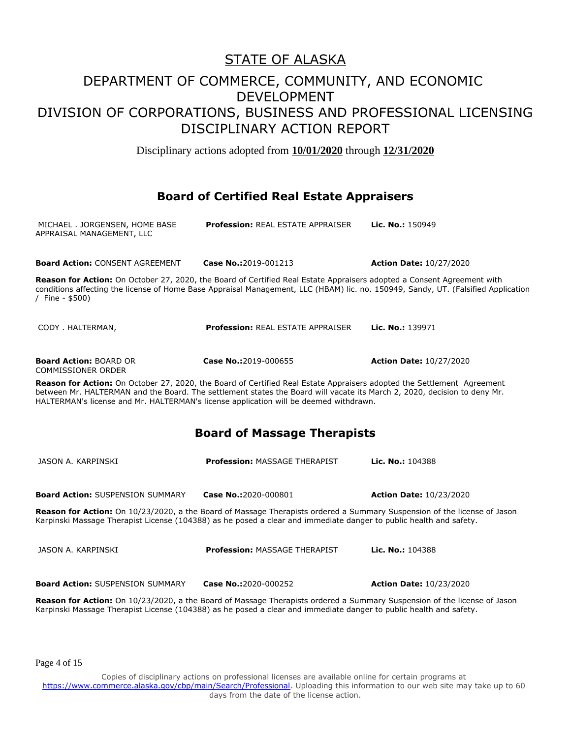Disciplinary actions adopted from **10/01/2020** through **12/31/2020**

### **Board of Certified Real Estate Appraisers**

| MICHAEL . JORGENSEN, HOME BASE<br>APPRAISAL MANAGEMENT, LLC | <b>Profession: REAL ESTATE APPRAISER</b>                                                                                                                                                                                                                                                                                                    | Lic. No.: 150949                                                                                                                  |
|-------------------------------------------------------------|---------------------------------------------------------------------------------------------------------------------------------------------------------------------------------------------------------------------------------------------------------------------------------------------------------------------------------------------|-----------------------------------------------------------------------------------------------------------------------------------|
| <b>Board Action: CONSENT AGREEMENT</b>                      | Case No.:2019-001213                                                                                                                                                                                                                                                                                                                        | <b>Action Date: 10/27/2020</b>                                                                                                    |
| / Fine - $$500$ )                                           | Reason for Action: On October 27, 2020, the Board of Certified Real Estate Appraisers adopted a Consent Agreement with                                                                                                                                                                                                                      | conditions affecting the license of Home Base Appraisal Management, LLC (HBAM) lic. no. 150949, Sandy, UT. (Falsified Application |
| CODY . HALTERMAN,                                           | <b>Profession: REAL ESTATE APPRAISER</b>                                                                                                                                                                                                                                                                                                    | Lic. No.: 139971                                                                                                                  |
| <b>Board Action: BOARD OR</b><br><b>COMMISSIONER ORDER</b>  | Case No.:2019-000655                                                                                                                                                                                                                                                                                                                        | <b>Action Date: 10/27/2020</b>                                                                                                    |
|                                                             | Reason for Action: On October 27, 2020, the Board of Certified Real Estate Appraisers adopted the Settlement Agreement<br>between Mr. HALTERMAN and the Board. The settlement states the Board will vacate its March 2, 2020, decision to deny Mr.<br>HALTERMAN's license and Mr. HALTERMAN's license application will be deemed withdrawn. |                                                                                                                                   |
|                                                             | <b>Board of Massage Therapists</b>                                                                                                                                                                                                                                                                                                          |                                                                                                                                   |
| JASON A. KARPINSKI                                          | Profession: MASSAGE THERAPIST                                                                                                                                                                                                                                                                                                               | <b>Lic. No.:</b> $104388$                                                                                                         |
| <b>Board Action: SUSPENSION SUMMARY</b>                     | Case No.:2020-000801                                                                                                                                                                                                                                                                                                                        | <b>Action Date: 10/23/2020</b>                                                                                                    |
|                                                             | Reason for Action: On 10/23/2020, a the Board of Massage Therapists ordered a Summary Suspension of the license of Jason<br>Karpinski Massage Therapist License (104388) as he posed a clear and immediate danger to public health and safety.                                                                                              |                                                                                                                                   |
| JASON A. KARPINSKI                                          | Profession: MASSAGE THERAPIST                                                                                                                                                                                                                                                                                                               | Lic. No.: 104388                                                                                                                  |
| <b>Board Action: SUSPENSION SUMMARY</b>                     | Case No.:2020-000252                                                                                                                                                                                                                                                                                                                        | <b>Action Date: 10/23/2020</b>                                                                                                    |
|                                                             | Reason for Action: On 10/23/2020, a the Board of Massage Therapists ordered a Summary Suspension of the license of Jason                                                                                                                                                                                                                    |                                                                                                                                   |

Page 4 of 15

Copies of disciplinary actions on professional licenses are available online for certain programs at https://www.commerce.alaska.gov/cbp/main/Search/Professional</u>. Uploading this information to our web site may take up to 60 days from the date of the license action.

Karpinski Massage Therapist License (104388) as he posed a clear and immediate danger to public health and safety.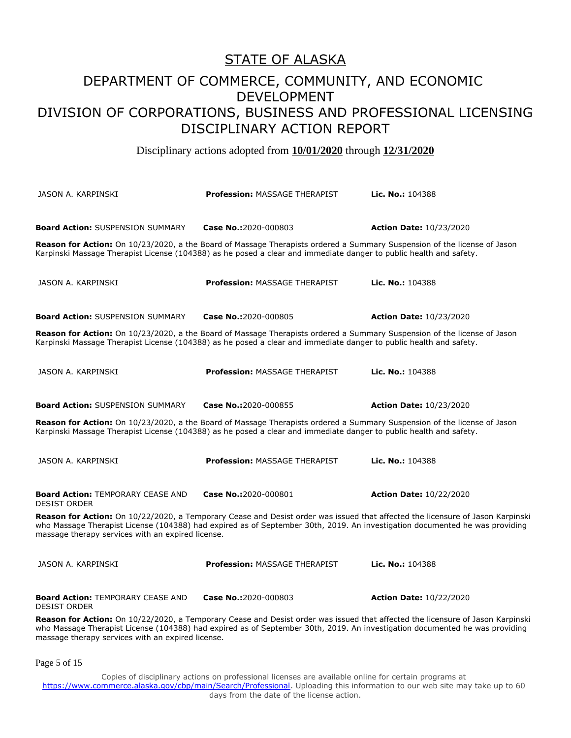Disciplinary actions adopted from **10/01/2020** through **12/31/2020**

| JASON A. KARPINSKI                                                                                                                                                                                                                                                                                                 | <b>Profession: MASSAGE THERAPIST</b>                                                                                                                                                                                                           | <b>Lic. No.: 104388</b>        |  |
|--------------------------------------------------------------------------------------------------------------------------------------------------------------------------------------------------------------------------------------------------------------------------------------------------------------------|------------------------------------------------------------------------------------------------------------------------------------------------------------------------------------------------------------------------------------------------|--------------------------------|--|
| <b>Board Action: SUSPENSION SUMMARY</b>                                                                                                                                                                                                                                                                            | Case No.:2020-000803                                                                                                                                                                                                                           | <b>Action Date: 10/23/2020</b> |  |
|                                                                                                                                                                                                                                                                                                                    | Reason for Action: On 10/23/2020, a the Board of Massage Therapists ordered a Summary Suspension of the license of Jason<br>Karpinski Massage Therapist License (104388) as he posed a clear and immediate danger to public health and safety. |                                |  |
| JASON A. KARPINSKI                                                                                                                                                                                                                                                                                                 | <b>Profession: MASSAGE THERAPIST</b>                                                                                                                                                                                                           | Lic. No.: 104388               |  |
| <b>Board Action: SUSPENSION SUMMARY</b>                                                                                                                                                                                                                                                                            | Case No.:2020-000805                                                                                                                                                                                                                           | <b>Action Date: 10/23/2020</b> |  |
|                                                                                                                                                                                                                                                                                                                    | Reason for Action: On 10/23/2020, a the Board of Massage Therapists ordered a Summary Suspension of the license of Jason<br>Karpinski Massage Therapist License (104388) as he posed a clear and immediate danger to public health and safety. |                                |  |
| JASON A. KARPINSKI                                                                                                                                                                                                                                                                                                 | Profession: MASSAGE THERAPIST                                                                                                                                                                                                                  | Lic. No.: 104388               |  |
| <b>Board Action: SUSPENSION SUMMARY</b>                                                                                                                                                                                                                                                                            | Case No.:2020-000855                                                                                                                                                                                                                           | <b>Action Date: 10/23/2020</b> |  |
|                                                                                                                                                                                                                                                                                                                    | Reason for Action: On 10/23/2020, a the Board of Massage Therapists ordered a Summary Suspension of the license of Jason<br>Karpinski Massage Therapist License (104388) as he posed a clear and immediate danger to public health and safety. |                                |  |
| JASON A. KARPINSKI                                                                                                                                                                                                                                                                                                 | <b>Profession: MASSAGE THERAPIST</b>                                                                                                                                                                                                           | Lic. No.: 104388               |  |
| <b>Board Action: TEMPORARY CEASE AND</b><br><b>DESIST ORDER</b>                                                                                                                                                                                                                                                    | Case No.:2020-000801                                                                                                                                                                                                                           | <b>Action Date: 10/22/2020</b> |  |
| Reason for Action: On 10/22/2020, a Temporary Cease and Desist order was issued that affected the licensure of Jason Karpinski<br>who Massage Therapist License (104388) had expired as of September 30th, 2019. An investigation documented he was providing<br>massage therapy services with an expired license. |                                                                                                                                                                                                                                                |                                |  |
| JASON A. KARPINSKI                                                                                                                                                                                                                                                                                                 | <b>Profession: MASSAGE THERAPIST</b>                                                                                                                                                                                                           | Lic. No.: 104388               |  |
| <b>Board Action: TEMPORARY CEASE AND</b><br><b>DESIST ORDER</b>                                                                                                                                                                                                                                                    | Case No.:2020-000803                                                                                                                                                                                                                           | <b>Action Date: 10/22/2020</b> |  |
| Reason for Action: On 10/22/2020, a Temporary Cease and Desist order was issued that affected the licensure of Jason Karpinski<br>who Massage Therapist License (104388) had expired as of September 30th, 2019. An investigation documented he was providing<br>massage therapy services with an expired license. |                                                                                                                                                                                                                                                |                                |  |

Page 5 of 15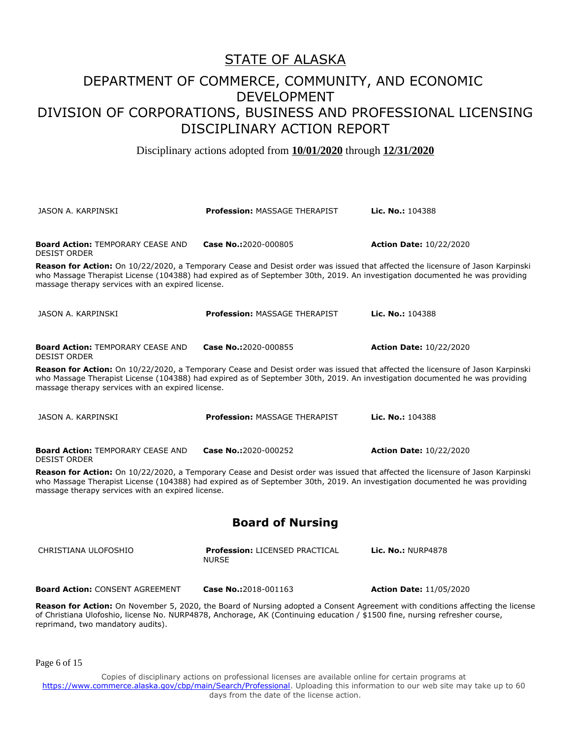## STATE OF ALASKA

## DEPARTMENT OF COMMERCE, COMMUNITY, AND ECONOMIC DEVELOPMENT DIVISION OF CORPORATIONS, BUSINESS AND PROFESSIONAL LICENSING DISCIPLINARY ACTION REPORT

Disciplinary actions adopted from **10/01/2020** through **12/31/2020**

| JASON A. KARPINSKI                                                                                                                                                                                                                                                                                                 | <b>Profession: MASSAGE THERAPIST</b>                                                                                                                                                                                                                                 | Lic. No.: 104388               |  |
|--------------------------------------------------------------------------------------------------------------------------------------------------------------------------------------------------------------------------------------------------------------------------------------------------------------------|----------------------------------------------------------------------------------------------------------------------------------------------------------------------------------------------------------------------------------------------------------------------|--------------------------------|--|
|                                                                                                                                                                                                                                                                                                                    |                                                                                                                                                                                                                                                                      |                                |  |
| <b>Board Action: TEMPORARY CEASE AND</b><br><b>DESIST ORDER</b>                                                                                                                                                                                                                                                    | Case No.:2020-000805                                                                                                                                                                                                                                                 | <b>Action Date: 10/22/2020</b> |  |
| massage therapy services with an expired license.                                                                                                                                                                                                                                                                  | Reason for Action: On 10/22/2020, a Temporary Cease and Desist order was issued that affected the licensure of Jason Karpinski<br>who Massage Therapist License (104388) had expired as of September 30th, 2019. An investigation documented he was providing        |                                |  |
| JASON A. KARPINSKI                                                                                                                                                                                                                                                                                                 | <b>Profession: MASSAGE THERAPIST</b>                                                                                                                                                                                                                                 | Lic. No.: 104388               |  |
| <b>Board Action: TEMPORARY CEASE AND</b><br><b>DESIST ORDER</b>                                                                                                                                                                                                                                                    | Case No.:2020-000855                                                                                                                                                                                                                                                 | <b>Action Date: 10/22/2020</b> |  |
| massage therapy services with an expired license.                                                                                                                                                                                                                                                                  | <b>Reason for Action:</b> On 10/22/2020, a Temporary Cease and Desist order was issued that affected the licensure of Jason Karpinski<br>who Massage Therapist License (104388) had expired as of September 30th, 2019. An investigation documented he was providing |                                |  |
| JASON A. KARPINSKI                                                                                                                                                                                                                                                                                                 | <b>Profession: MASSAGE THERAPIST</b>                                                                                                                                                                                                                                 | Lic. No.: 104388               |  |
| <b>Board Action: TEMPORARY CEASE AND</b><br><b>DESIST ORDER</b>                                                                                                                                                                                                                                                    | Case No.:2020-000252                                                                                                                                                                                                                                                 | <b>Action Date: 10/22/2020</b> |  |
| Reason for Action: On 10/22/2020, a Temporary Cease and Desist order was issued that affected the licensure of Jason Karpinski<br>who Massage Therapist License (104388) had expired as of September 30th, 2019. An investigation documented he was providing<br>massage therapy services with an expired license. |                                                                                                                                                                                                                                                                      |                                |  |
| <b>Board of Nursing</b>                                                                                                                                                                                                                                                                                            |                                                                                                                                                                                                                                                                      |                                |  |
| CHRISTIANA ULOFOSHIO                                                                                                                                                                                                                                                                                               | Profession: LICENSED PRACTICAL<br><b>NURSE</b>                                                                                                                                                                                                                       | <b>Lic. No.: NURP4878</b>      |  |
| <b>Board Action: CONSENT AGREEMENT</b>                                                                                                                                                                                                                                                                             | Case No.:2018-001163                                                                                                                                                                                                                                                 | <b>Action Date: 11/05/2020</b> |  |
| Reason for Action: On November 5, 2020, the Board of Nursing adopted a Consent Agreement with conditions affecting the license<br>of Christiana Ulofoshio, license No. NURP4878, Anchorage, AK (Continuing education / \$1500 fine, nursing refresher course,<br>reprimand, two mandatory audits).                 |                                                                                                                                                                                                                                                                      |                                |  |
| Page 6 of 15                                                                                                                                                                                                                                                                                                       |                                                                                                                                                                                                                                                                      |                                |  |
|                                                                                                                                                                                                                                                                                                                    | Copies of disciplinary actions on professional licenses are available online for sertain programs at                                                                                                                                                                 |                                |  |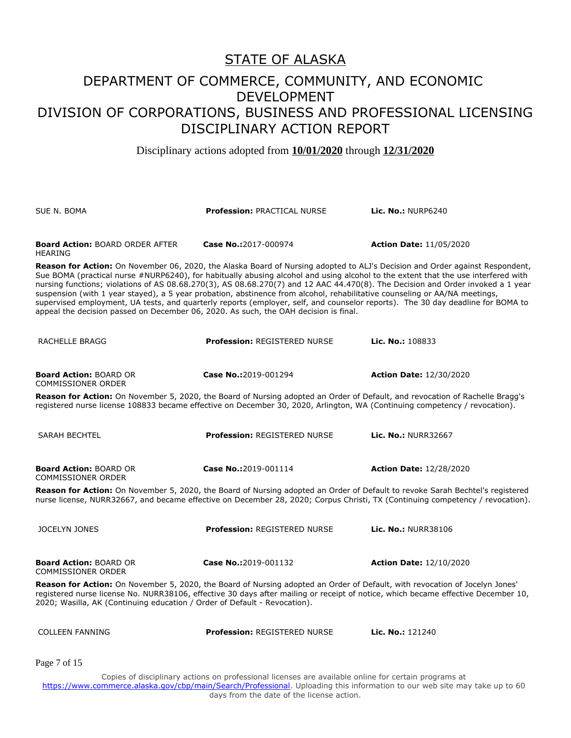Disciplinary actions adopted from **10/01/2020** through **12/31/2020**

| SUE N. BOMA                                                                                                                                                                                                                                                                                                                                                                                                                                                                                                                                                                                                                                                                                                                                                   | <b>Profession: PRACTICAL NURSE</b>                                                                                                                                                                                                                                              | Lic. No.: $NURP6240$           |
|---------------------------------------------------------------------------------------------------------------------------------------------------------------------------------------------------------------------------------------------------------------------------------------------------------------------------------------------------------------------------------------------------------------------------------------------------------------------------------------------------------------------------------------------------------------------------------------------------------------------------------------------------------------------------------------------------------------------------------------------------------------|---------------------------------------------------------------------------------------------------------------------------------------------------------------------------------------------------------------------------------------------------------------------------------|--------------------------------|
| <b>Board Action: BOARD ORDER AFTER</b><br>HEARING                                                                                                                                                                                                                                                                                                                                                                                                                                                                                                                                                                                                                                                                                                             | Case No.:2017-000974                                                                                                                                                                                                                                                            | <b>Action Date: 11/05/2020</b> |
| Reason for Action: On November 06, 2020, the Alaska Board of Nursing adopted to ALJ's Decision and Order against Respondent,<br>Sue BOMA (practical nurse #NURP6240), for habitually abusing alcohol and using alcohol to the extent that the use interfered with<br>nursing functions; violations of AS 08.68.270(3), AS 08.68.270(7) and 12 AAC 44.470(8). The Decision and Order invoked a 1 year<br>suspension (with 1 year stayed), a 5 year probation, abstinence from alcohol, rehabilitative counseling or AA/NA meetings,<br>supervised employment, UA tests, and quarterly reports (employer, self, and counselor reports). The 30 day deadline for BOMA to<br>appeal the decision passed on December 06, 2020. As such, the OAH decision is final. |                                                                                                                                                                                                                                                                                 |                                |
| RACHELLE BRAGG                                                                                                                                                                                                                                                                                                                                                                                                                                                                                                                                                                                                                                                                                                                                                | <b>Profession: REGISTERED NURSE</b>                                                                                                                                                                                                                                             | Lic. No.: 108833               |
| <b>Board Action: BOARD OR</b><br><b>COMMISSIONER ORDER</b>                                                                                                                                                                                                                                                                                                                                                                                                                                                                                                                                                                                                                                                                                                    | Case No.:2019-001294                                                                                                                                                                                                                                                            | <b>Action Date: 12/30/2020</b> |
| Reason for Action: On November 5, 2020, the Board of Nursing adopted an Order of Default, and revocation of Rachelle Bragg's<br>registered nurse license 108833 became effective on December 30, 2020, Arlington, WA (Continuing competency / revocation).                                                                                                                                                                                                                                                                                                                                                                                                                                                                                                    |                                                                                                                                                                                                                                                                                 |                                |
| <b>SARAH BECHTEL</b>                                                                                                                                                                                                                                                                                                                                                                                                                                                                                                                                                                                                                                                                                                                                          | <b>Profession: REGISTERED NURSE</b>                                                                                                                                                                                                                                             | Lic. No.: NURR32667            |
| <b>Board Action: BOARD OR</b><br><b>COMMISSIONER ORDER</b>                                                                                                                                                                                                                                                                                                                                                                                                                                                                                                                                                                                                                                                                                                    | Case No.:2019-001114                                                                                                                                                                                                                                                            | <b>Action Date: 12/28/2020</b> |
| Reason for Action: On November 5, 2020, the Board of Nursing adopted an Order of Default to revoke Sarah Bechtel's registered<br>nurse license, NURR32667, and became effective on December 28, 2020; Corpus Christi, TX (Continuing competency / revocation).                                                                                                                                                                                                                                                                                                                                                                                                                                                                                                |                                                                                                                                                                                                                                                                                 |                                |
| <b>JOCELYN JONES</b>                                                                                                                                                                                                                                                                                                                                                                                                                                                                                                                                                                                                                                                                                                                                          | <b>Profession: REGISTERED NURSE</b>                                                                                                                                                                                                                                             | <b>Lic. No.: NURR38106</b>     |
| <b>Board Action: BOARD OR</b><br><b>COMMISSIONER ORDER</b>                                                                                                                                                                                                                                                                                                                                                                                                                                                                                                                                                                                                                                                                                                    | Case No.:2019-001132                                                                                                                                                                                                                                                            | <b>Action Date: 12/10/2020</b> |
| Reason for Action: On November 5, 2020, the Board of Nursing adopted an Order of Default, with revocation of Jocelyn Jones'<br>registered nurse license No. NURR38106, effective 30 days after mailing or receipt of notice, which became effective December 10,<br>2020; Wasilla, AK (Continuing education / Order of Default - Revocation).                                                                                                                                                                                                                                                                                                                                                                                                                 |                                                                                                                                                                                                                                                                                 |                                |
| <b>COLLEEN FANNING</b>                                                                                                                                                                                                                                                                                                                                                                                                                                                                                                                                                                                                                                                                                                                                        | <b>Profession: REGISTERED NURSE</b>                                                                                                                                                                                                                                             | Lic. No.: 121240               |
| Page 7 of 15                                                                                                                                                                                                                                                                                                                                                                                                                                                                                                                                                                                                                                                                                                                                                  |                                                                                                                                                                                                                                                                                 |                                |
|                                                                                                                                                                                                                                                                                                                                                                                                                                                                                                                                                                                                                                                                                                                                                               | Copies of disciplinary actions on professional licenses are available online for certain programs at<br>https://www.commerce.alaska.gov/cbp/main/Search/Professional. Uploading this information to our web site may take up to 60<br>days from the date of the license action. |                                |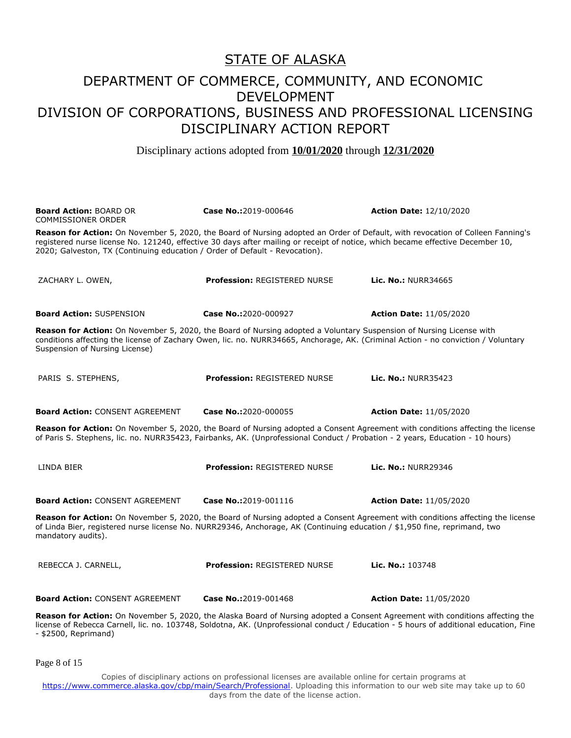Disciplinary actions adopted from **10/01/2020** through **12/31/2020**

| <b>Board Action: BOARD OR</b><br>COMMISSIONER ORDER                                                                                                                                                                                                                                        | Case No.:2019-000646                | <b>Action Date: 12/10/2020</b>                                                                                                                                                                                                                                          |
|--------------------------------------------------------------------------------------------------------------------------------------------------------------------------------------------------------------------------------------------------------------------------------------------|-------------------------------------|-------------------------------------------------------------------------------------------------------------------------------------------------------------------------------------------------------------------------------------------------------------------------|
| registered nurse license No. 121240, effective 30 days after mailing or receipt of notice, which became effective December 10,<br>2020; Galveston, TX (Continuing education / Order of Default - Revocation).                                                                              |                                     | Reason for Action: On November 5, 2020, the Board of Nursing adopted an Order of Default, with revocation of Colleen Fanning's                                                                                                                                          |
| ZACHARY L. OWEN,                                                                                                                                                                                                                                                                           | <b>Profession: REGISTERED NURSE</b> | Lic. No.: NURR34665                                                                                                                                                                                                                                                     |
| <b>Board Action: SUSPENSION</b>                                                                                                                                                                                                                                                            | Case No.:2020-000927                | <b>Action Date: 11/05/2020</b>                                                                                                                                                                                                                                          |
| Reason for Action: On November 5, 2020, the Board of Nursing adopted a Voluntary Suspension of Nursing License with<br>conditions affecting the license of Zachary Owen, lic. no. NURR34665, Anchorage, AK. (Criminal Action - no conviction / Voluntary<br>Suspension of Nursing License) |                                     |                                                                                                                                                                                                                                                                         |
| PARIS S. STEPHENS,                                                                                                                                                                                                                                                                         | <b>Profession: REGISTERED NURSE</b> | <b>Lic. No.: NURR35423</b>                                                                                                                                                                                                                                              |
| <b>Board Action: CONSENT AGREEMENT</b>                                                                                                                                                                                                                                                     | Case No.:2020-000055                | <b>Action Date: 11/05/2020</b>                                                                                                                                                                                                                                          |
| of Paris S. Stephens, lic. no. NURR35423, Fairbanks, AK. (Unprofessional Conduct / Probation - 2 years, Education - 10 hours)                                                                                                                                                              |                                     | Reason for Action: On November 5, 2020, the Board of Nursing adopted a Consent Agreement with conditions affecting the license                                                                                                                                          |
| LINDA BIER                                                                                                                                                                                                                                                                                 | <b>Profession: REGISTERED NURSE</b> | Lic. No.: NURR29346                                                                                                                                                                                                                                                     |
| <b>Board Action: CONSENT AGREEMENT</b>                                                                                                                                                                                                                                                     | Case No.:2019-001116                | <b>Action Date: 11/05/2020</b>                                                                                                                                                                                                                                          |
| of Linda Bier, registered nurse license No. NURR29346, Anchorage, AK (Continuing education / \$1,950 fine, reprimand, two<br>mandatory audits).                                                                                                                                            |                                     | Reason for Action: On November 5, 2020, the Board of Nursing adopted a Consent Agreement with conditions affecting the license                                                                                                                                          |
| REBECCA J. CARNELL,                                                                                                                                                                                                                                                                        | <b>Profession: REGISTERED NURSE</b> | Lic. No.: 103748                                                                                                                                                                                                                                                        |
| <b>Board Action: CONSENT AGREEMENT</b>                                                                                                                                                                                                                                                     | Case No.:2019-001468                | <b>Action Date: 11/05/2020</b>                                                                                                                                                                                                                                          |
| - \$2500, Reprimand)                                                                                                                                                                                                                                                                       |                                     | Reason for Action: On November 5, 2020, the Alaska Board of Nursing adopted a Consent Agreement with conditions affecting the<br>license of Rebecca Carnell, lic. no. 103748, Soldotna, AK. (Unprofessional conduct / Education - 5 hours of additional education, Fine |

Page 8 of 15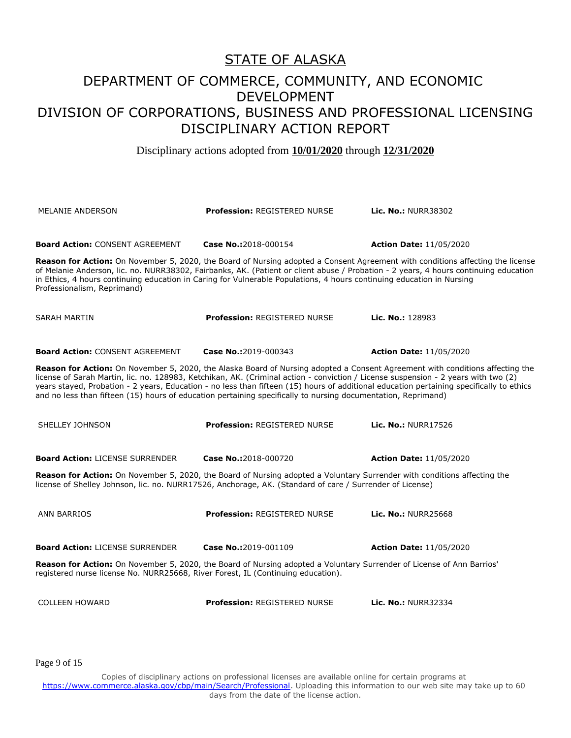Disciplinary actions adopted from **10/01/2020** through **12/31/2020**

| <b>MELANIE ANDERSON</b>                                                                                                                                                                                                                                                                                                                                                                                                                                                                                                          | <b>Profession: REGISTERED NURSE</b> | <b>Lic. No.: NURR38302</b>                                                                                                                                                                                                                                             |
|----------------------------------------------------------------------------------------------------------------------------------------------------------------------------------------------------------------------------------------------------------------------------------------------------------------------------------------------------------------------------------------------------------------------------------------------------------------------------------------------------------------------------------|-------------------------------------|------------------------------------------------------------------------------------------------------------------------------------------------------------------------------------------------------------------------------------------------------------------------|
| <b>Board Action: CONSENT AGREEMENT</b>                                                                                                                                                                                                                                                                                                                                                                                                                                                                                           | Case No.:2018-000154                | <b>Action Date: 11/05/2020</b>                                                                                                                                                                                                                                         |
| in Ethics, 4 hours continuing education in Caring for Vulnerable Populations, 4 hours continuing education in Nursing<br>Professionalism, Reprimand)                                                                                                                                                                                                                                                                                                                                                                             |                                     | Reason for Action: On November 5, 2020, the Board of Nursing adopted a Consent Agreement with conditions affecting the license<br>of Melanie Anderson, lic. no. NURR38302, Fairbanks, AK. (Patient or client abuse / Probation - 2 years, 4 hours continuing education |
| <b>SARAH MARTIN</b>                                                                                                                                                                                                                                                                                                                                                                                                                                                                                                              | <b>Profession: REGISTERED NURSE</b> | Lic. No.: 128983                                                                                                                                                                                                                                                       |
| <b>Board Action: CONSENT AGREEMENT</b>                                                                                                                                                                                                                                                                                                                                                                                                                                                                                           | Case No.:2019-000343                | <b>Action Date: 11/05/2020</b>                                                                                                                                                                                                                                         |
| Reason for Action: On November 5, 2020, the Alaska Board of Nursing adopted a Consent Agreement with conditions affecting the<br>license of Sarah Martin, lic. no. 128983, Ketchikan, AK. (Criminal action - conviction / License suspension - 2 years with two (2)<br>years stayed, Probation - 2 years, Education - no less than fifteen (15) hours of additional education pertaining specifically to ethics<br>and no less than fifteen (15) hours of education pertaining specifically to nursing documentation, Reprimand) |                                     |                                                                                                                                                                                                                                                                        |
| SHELLEY JOHNSON                                                                                                                                                                                                                                                                                                                                                                                                                                                                                                                  | <b>Profession: REGISTERED NURSE</b> | <b>Lic. No.: NURR17526</b>                                                                                                                                                                                                                                             |
| <b>Board Action: LICENSE SURRENDER</b>                                                                                                                                                                                                                                                                                                                                                                                                                                                                                           | Case No.:2018-000720                | <b>Action Date: 11/05/2020</b>                                                                                                                                                                                                                                         |
| Reason for Action: On November 5, 2020, the Board of Nursing adopted a Voluntary Surrender with conditions affecting the<br>license of Shelley Johnson, lic. no. NURR17526, Anchorage, AK. (Standard of care / Surrender of License)                                                                                                                                                                                                                                                                                             |                                     |                                                                                                                                                                                                                                                                        |
| <b>ANN BARRIOS</b>                                                                                                                                                                                                                                                                                                                                                                                                                                                                                                               | <b>Profession: REGISTERED NURSE</b> | <b>Lic. No.: NURR25668</b>                                                                                                                                                                                                                                             |
| <b>Board Action: LICENSE SURRENDER</b>                                                                                                                                                                                                                                                                                                                                                                                                                                                                                           | Case No.:2019-001109                | <b>Action Date: 11/05/2020</b>                                                                                                                                                                                                                                         |
| Reason for Action: On November 5, 2020, the Board of Nursing adopted a Voluntary Surrender of License of Ann Barrios'<br>registered nurse license No. NURR25668, River Forest, IL (Continuing education).                                                                                                                                                                                                                                                                                                                        |                                     |                                                                                                                                                                                                                                                                        |
| <b>COLLEEN HOWARD</b>                                                                                                                                                                                                                                                                                                                                                                                                                                                                                                            | <b>Profession: REGISTERED NURSE</b> | <b>Lic. No.: NURR32334</b>                                                                                                                                                                                                                                             |

Page 9 of 15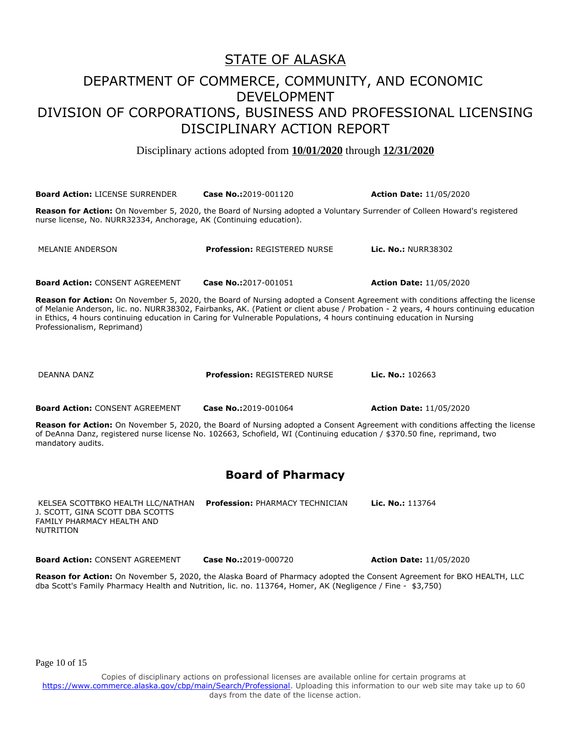Disciplinary actions adopted from **10/01/2020** through **12/31/2020**

**Board Action:** LICENSE SURRENDER **Case No.:**2019-001120 **Action Date:** 11/05/2020 **Reason for Action:** On November 5, 2020, the Board of Nursing adopted a Voluntary Surrender of Colleen Howard's registered nurse license, No. NURR32334, Anchorage, AK (Continuing education). MELANIE ANDERSON **Profession:** REGISTERED NURSE **Lic. No.:** NURR38302 **Board Action:** CONSENT AGREEMENT **Case No.:**2017-001051 **Action Date:** 11/05/2020 **Reason for Action:** On November 5, 2020, the Board of Nursing adopted a Consent Agreement with conditions affecting the license of Melanie Anderson, lic. no. NURR38302, Fairbanks, AK. (Patient or client abuse / Probation - 2 years, 4 hours continuing education in Ethics, 4 hours continuing education in Caring for Vulnerable Populations, 4 hours continuing education in Nursing Professionalism, Reprimand) DEANNA DANZ **Profession:** REGISTERED NURSE **Lic. No.:** 102663 **Board Action:** CONSENT AGREEMENT **Case No.:**2019-001064 **Action Date:** 11/05/2020 **Reason for Action:** On November 5, 2020, the Board of Nursing adopted a Consent Agreement with conditions affecting the license of DeAnna Danz, registered nurse license No. 102663, Schofield, WI (Continuing education / \$370.50 fine, reprimand, two mandatory audits. **Board of Pharmacy** KELSEA SCOTTBKO HEALTH LLC/NATHAN J. SCOTT, GINA SCOTT DBA SCOTTS FAMILY PHARMACY HEALTH AND NUTRITION **Profession:** PHARMACY TECHNICIAN **Lic. No.:** 113764 **Board Action:** CONSENT AGREEMENT **Case No.:**2019-000720 **Action Date:** 11/05/2020 **Reason for Action:** On November 5, 2020, the Alaska Board of Pharmacy adopted the Consent Agreement for BKO HEALTH, LLC dba Scott's Family Pharmacy Health and Nutrition, lic. no. 113764, Homer, AK (Negligence / Fine - \$3,750)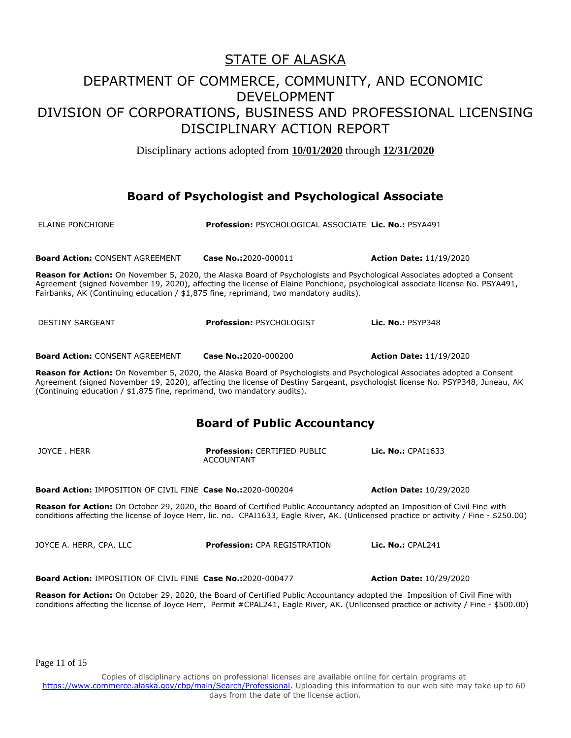Disciplinary actions adopted from **10/01/2020** through **12/31/2020**

### **Board of Psychologist and Psychological Associate**

| <b>ELAINE PONCHIONE</b>                                                                                                                                                                                                                                                                                                              | Profession: PSYCHOLOGICAL ASSOCIATE Lic. No.: PSYA491                                                                                                                                                                                                     |                                |  |
|--------------------------------------------------------------------------------------------------------------------------------------------------------------------------------------------------------------------------------------------------------------------------------------------------------------------------------------|-----------------------------------------------------------------------------------------------------------------------------------------------------------------------------------------------------------------------------------------------------------|--------------------------------|--|
| <b>Board Action: CONSENT AGREEMENT</b>                                                                                                                                                                                                                                                                                               | Case No.:2020-000011                                                                                                                                                                                                                                      | <b>Action Date: 11/19/2020</b> |  |
| Fairbanks, AK (Continuing education / \$1,875 fine, reprimand, two mandatory audits).                                                                                                                                                                                                                                                | Reason for Action: On November 5, 2020, the Alaska Board of Psychologists and Psychological Associates adopted a Consent<br>Agreement (signed November 19, 2020), affecting the license of Elaine Ponchione, psychological associate license No. PSYA491, |                                |  |
| <b>DESTINY SARGEANT</b>                                                                                                                                                                                                                                                                                                              | <b>Profession: PSYCHOLOGIST</b>                                                                                                                                                                                                                           | <b>Lic. No.: PSYP348</b>       |  |
| <b>Board Action: CONSENT AGREEMENT</b>                                                                                                                                                                                                                                                                                               | Case No.:2020-000200                                                                                                                                                                                                                                      | <b>Action Date: 11/19/2020</b> |  |
| Reason for Action: On November 5, 2020, the Alaska Board of Psychologists and Psychological Associates adopted a Consent<br>Agreement (signed November 19, 2020), affecting the license of Destiny Sargeant, psychologist license No. PSYP348, Juneau, AK<br>(Continuing education / \$1,875 fine, reprimand, two mandatory audits). |                                                                                                                                                                                                                                                           |                                |  |
|                                                                                                                                                                                                                                                                                                                                      | <b>Board of Public Accountancy</b>                                                                                                                                                                                                                        |                                |  |
| JOYCE, HERR                                                                                                                                                                                                                                                                                                                          | <b>Profession: CERTIFIED PUBLIC</b><br><b>ACCOUNTANT</b>                                                                                                                                                                                                  | Lic. No.: CPAI1633             |  |
| <b>Board Action: IMPOSITION OF CIVIL FINE Case No.:2020-000204</b>                                                                                                                                                                                                                                                                   |                                                                                                                                                                                                                                                           | <b>Action Date: 10/29/2020</b> |  |
| Reason for Action: On October 29, 2020, the Board of Certified Public Accountancy adopted an Imposition of Civil Fine with<br>conditions affecting the license of Joyce Herr, lic. no. CPAI1633, Eagle River, AK. (Unlicensed practice or activity / Fine - \$250.00)                                                                |                                                                                                                                                                                                                                                           |                                |  |
| JOYCE A. HERR, CPA, LLC                                                                                                                                                                                                                                                                                                              | <b>Profession: CPA REGISTRATION</b>                                                                                                                                                                                                                       | Lic. $No.:$ CPAL241            |  |
| <b>Board Action: IMPOSITION OF CIVIL FINE Case No.:2020-000477</b>                                                                                                                                                                                                                                                                   |                                                                                                                                                                                                                                                           | <b>Action Date: 10/29/2020</b> |  |
| Reason for Action: On October 29, 2020, the Board of Certified Public Accountancy adopted the Imposition of Civil Fine with<br>conditions affecting the license of Joyce Herr, Permit #CPAL241, Eagle River, AK. (Unlicensed practice or activity / Fine - \$500.00)                                                                 |                                                                                                                                                                                                                                                           |                                |  |

Page 11 of 15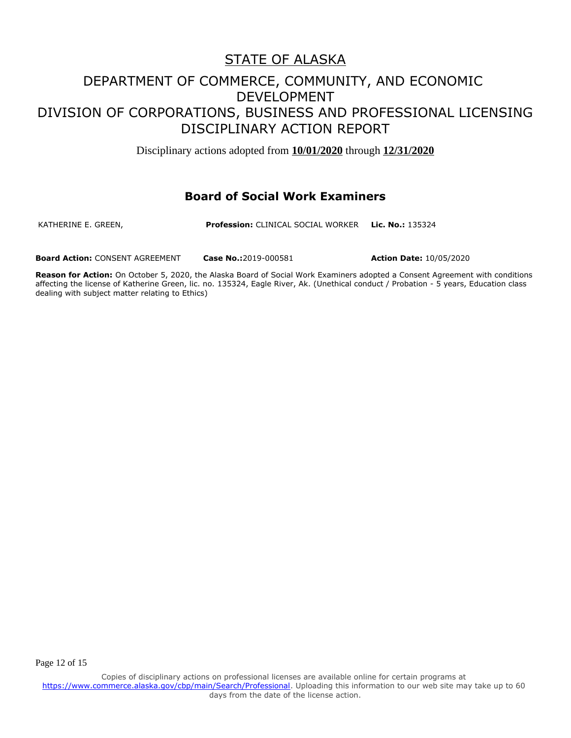Disciplinary actions adopted from **10/01/2020** through **12/31/2020**

#### **Board of Social Work Examiners**

KATHERINE E. GREEN, **Profession:** CLINICAL SOCIAL WORKER **Lic. No.:** 135324

**Board Action:** CONSENT AGREEMENT **Case No.:**2019-000581 **Action Date:** 10/05/2020

**Reason for Action:** On October 5, 2020, the Alaska Board of Social Work Examiners adopted a Consent Agreement with conditions affecting the license of Katherine Green, lic. no. 135324, Eagle River, Ak. (Unethical conduct / Probation - 5 years, Education class dealing with subject matter relating to Ethics)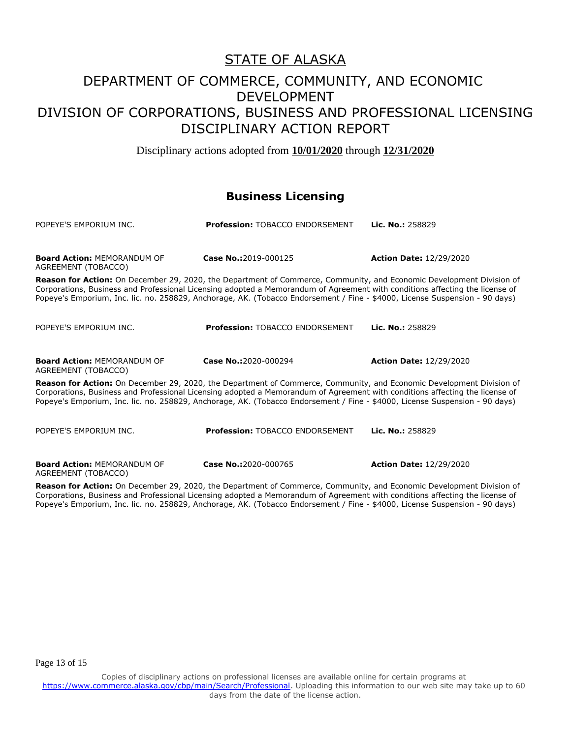Disciplinary actions adopted from **10/01/2020** through **12/31/2020**

### **Business Licensing**

| POPEYE'S EMPORIUM INC.                                                                                                                                                                                                                                                                                                                                                              | <b>Profession: TOBACCO ENDORSEMENT</b> | Lic. No.: 258829               |
|-------------------------------------------------------------------------------------------------------------------------------------------------------------------------------------------------------------------------------------------------------------------------------------------------------------------------------------------------------------------------------------|----------------------------------------|--------------------------------|
| <b>Board Action: MEMORANDUM OF</b><br>AGREEMENT (TOBACCO)                                                                                                                                                                                                                                                                                                                           | Case No.:2019-000125                   | <b>Action Date: 12/29/2020</b> |
| Reason for Action: On December 29, 2020, the Department of Commerce, Community, and Economic Development Division of<br>Corporations, Business and Professional Licensing adopted a Memorandum of Agreement with conditions affecting the license of<br>Popeye's Emporium, Inc. lic. no. 258829, Anchorage, AK. (Tobacco Endorsement / Fine - \$4000, License Suspension - 90 days) |                                        |                                |
| POPEYE'S EMPORIUM INC.                                                                                                                                                                                                                                                                                                                                                              | <b>Profession: TOBACCO ENDORSEMENT</b> | Lic. No.: 258829               |
| <b>Board Action: MEMORANDUM OF</b><br>AGREEMENT (TOBACCO)                                                                                                                                                                                                                                                                                                                           | Case No.:2020-000294                   | <b>Action Date: 12/29/2020</b> |
| Reason for Action: On December 29, 2020, the Department of Commerce, Community, and Economic Development Division of<br>Corporations, Business and Professional Licensing adopted a Memorandum of Agreement with conditions affecting the license of<br>Popeye's Emporium, Inc. lic. no. 258829, Anchorage, AK. (Tobacco Endorsement / Fine - \$4000, License Suspension - 90 days) |                                        |                                |
| POPEYE'S EMPORIUM INC.                                                                                                                                                                                                                                                                                                                                                              | <b>Profession: TOBACCO ENDORSEMENT</b> | Lic. No.: 258829               |
| <b>Board Action: MEMORANDUM OF</b><br>AGREEMENT (TOBACCO)                                                                                                                                                                                                                                                                                                                           | Case No.:2020-000765                   | <b>Action Date: 12/29/2020</b> |

**Reason for Action:** On December 29, 2020, the Department of Commerce, Community, and Economic Development Division of Corporations, Business and Professional Licensing adopted a Memorandum of Agreement with conditions affecting the license of Popeye's Emporium, Inc. lic. no. 258829, Anchorage, AK. (Tobacco Endorsement / Fine - \$4000, License Suspension - 90 days)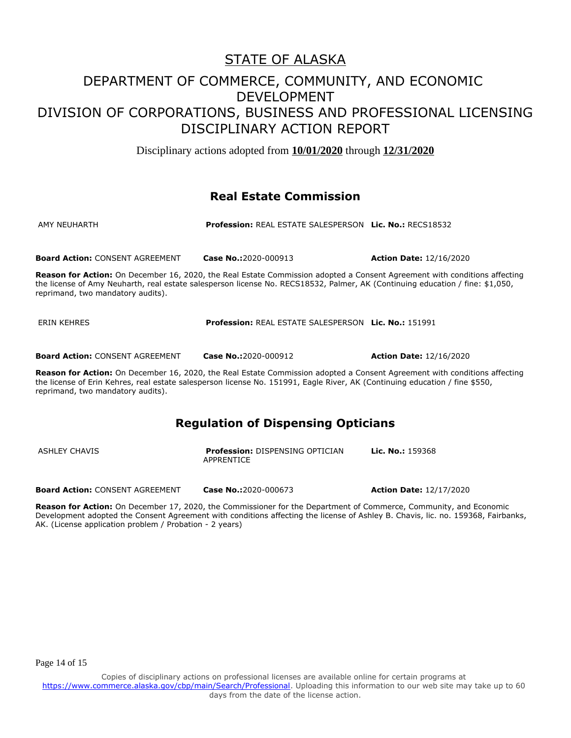Disciplinary actions adopted from **10/01/2020** through **12/31/2020**

### **Real Estate Commission**

| AMY NEUHARTH | <b>Profession: REAL ESTATE SALESPERSON Lic. No.: RECS18532</b> |  |
|--------------|----------------------------------------------------------------|--|
|              |                                                                |  |

**Board Action:** CONSENT AGREEMENT **Case No.:**2020-000913 **Action Date:** 12/16/2020

**Reason for Action:** On December 16, 2020, the Real Estate Commission adopted a Consent Agreement with conditions affecting the license of Amy Neuharth, real estate salesperson license No. RECS18532, Palmer, AK (Continuing education / fine: \$1,050, reprimand, two mandatory audits).

| <b>ERIN KEHRES</b> | <b>Profession: REAL ESTATE SALESPERSON Lic. No.: 151991</b> |  |
|--------------------|-------------------------------------------------------------|--|
|                    |                                                             |  |

**Board Action:** CONSENT AGREEMENT **Case No.:**2020-000912 **Action Date:** 12/16/2020

**Reason for Action:** On December 16, 2020, the Real Estate Commission adopted a Consent Agreement with conditions affecting the license of Erin Kehres, real estate salesperson license No. 151991, Eagle River, AK (Continuing education / fine \$550, reprimand, two mandatory audits).

### **Regulation of Dispensing Opticians**

| ASHLEY CHAVIS | <b>Profession: DISPENSING OPTICIAN</b><br>APPRENTICE | <b>Lic. No.:</b> 159368 |
|---------------|------------------------------------------------------|-------------------------|
|               |                                                      |                         |

**Board Action:** CONSENT AGREEMENT **Case No.:**2020-000673 **Action Date:** 12/17/2020

**Reason for Action:** On December 17, 2020, the Commissioner for the Department of Commerce, Community, and Economic Development adopted the Consent Agreement with conditions affecting the license of Ashley B. Chavis, lic. no. 159368, Fairbanks, AK. (License application problem / Probation - 2 years)